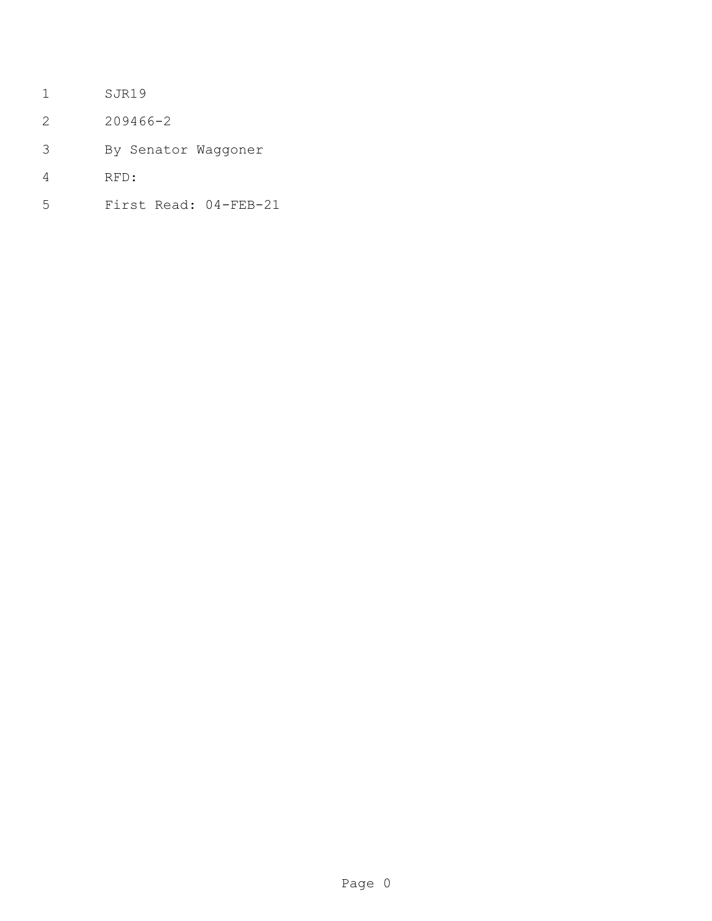- SJR19
- 209466-2
- By Senator Waggoner
- RFD:
- First Read: 04-FEB-21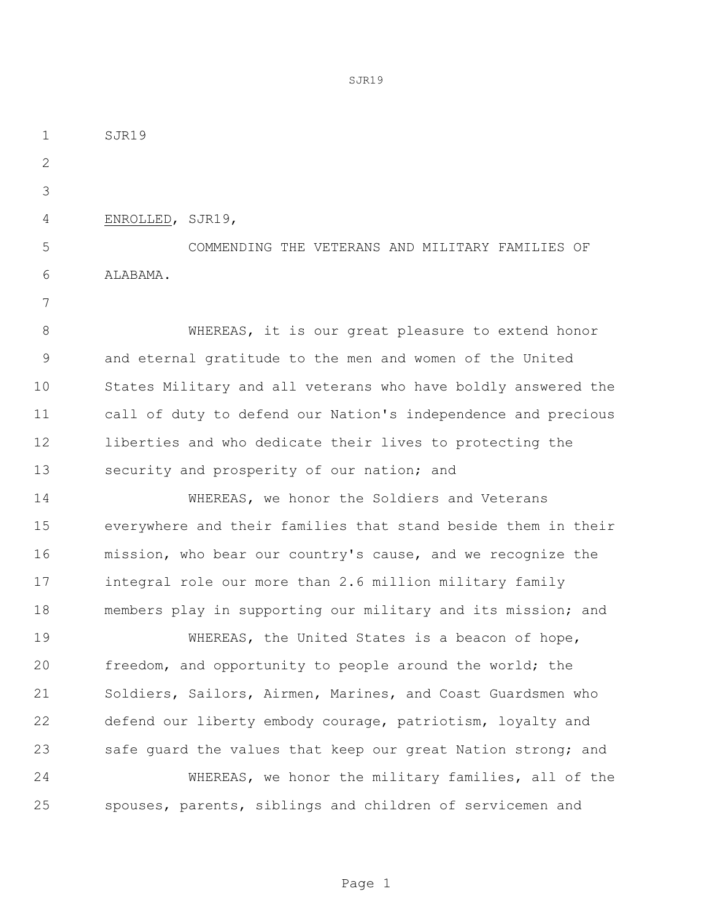SJR19

ENROLLED, SJR19,

 COMMENDING THE VETERANS AND MILITARY FAMILIES OF ALABAMA.

 WHEREAS, it is our great pleasure to extend honor and eternal gratitude to the men and women of the United States Military and all veterans who have boldly answered the call of duty to defend our Nation's independence and precious liberties and who dedicate their lives to protecting the security and prosperity of our nation; and

 WHEREAS, we honor the Soldiers and Veterans everywhere and their families that stand beside them in their mission, who bear our country's cause, and we recognize the integral role our more than 2.6 million military family members play in supporting our military and its mission; and

19 WHEREAS, the United States is a beacon of hope, freedom, and opportunity to people around the world; the Soldiers, Sailors, Airmen, Marines, and Coast Guardsmen who defend our liberty embody courage, patriotism, loyalty and 23 safe quard the values that keep our great Nation strong; and WHEREAS, we honor the military families, all of the spouses, parents, siblings and children of servicemen and

SJR19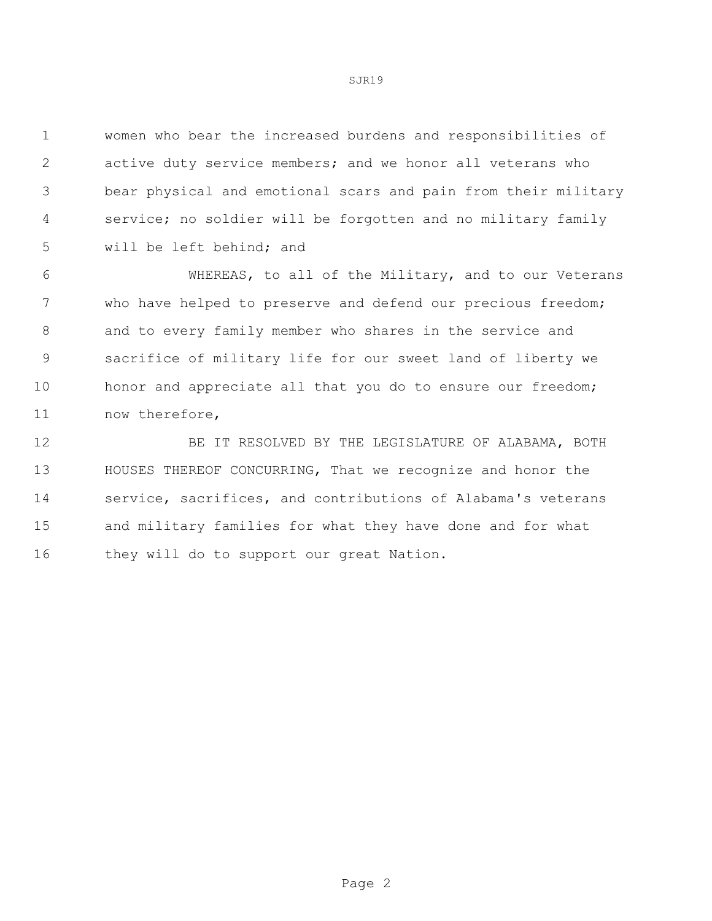women who bear the increased burdens and responsibilities of active duty service members; and we honor all veterans who bear physical and emotional scars and pain from their military service; no soldier will be forgotten and no military family will be left behind; and

 WHEREAS, to all of the Military, and to our Veterans who have helped to preserve and defend our precious freedom; and to every family member who shares in the service and sacrifice of military life for our sweet land of liberty we 10 honor and appreciate all that you do to ensure our freedom; now therefore,

 BE IT RESOLVED BY THE LEGISLATURE OF ALABAMA, BOTH HOUSES THEREOF CONCURRING, That we recognize and honor the service, sacrifices, and contributions of Alabama's veterans and military families for what they have done and for what 16 they will do to support our great Nation.

SJR19